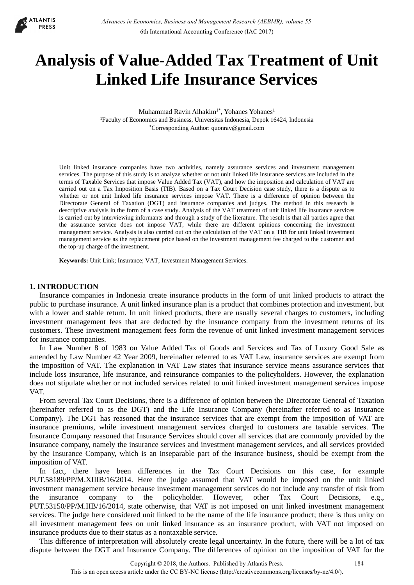

# **Analysis of Value-Added Tax Treatment of Unit Linked Life Insurance Services**

Muhammad Ravin Alhakim<sup>1\*</sup>, Yohanes Yohanes<sup>1</sup> 1Faculty of Economics and Business, Universitas Indonesia, Depok 16424, Indonesia \*Corresponding Author: quonrav@gmail.com

Unit linked insurance companies have two activities, namely assurance services and investment management services. The purpose of this study is to analyze whether or not unit linked life insurance services are included in the terms of Taxable Services that impose Value Added Tax (VAT), and how the imposition and calculation of VAT are carried out on a Tax Imposition Basis (TIB). Based on a Tax Court Decision case study, there is a dispute as to whether or not unit linked life insurance services impose VAT. There is a difference of opinion between the Directorate General of Taxation (DGT) and insurance companies and judges. The method in this research is descriptive analysis in the form of a case study. Analysis of the VAT treatment of unit linked life insurance services is carried out by interviewing informants and through a study of the literature. The result is that all parties agree that the assurance service does not impose VAT, while there are different opinions concerning the investment management service. Analysis is also carried out on the calculation of the VAT on a TIB for unit linked investment management service as the replacement price based on the investment management fee charged to the customer and the top-up charge of the investment.

**Keywords:** Unit Link; Insurance; VAT; Investment Management Services.

# **1. INTRODUCTION**

Insurance companies in Indonesia create insurance products in the form of unit linked products to attract the public to purchase insurance. A unit linked insurance plan is a product that combines protection and investment, but with a lower and stable return. In unit linked products, there are usually several charges to customers, including investment management fees that are deducted by the insurance company from the investment returns of its customers. These investment management fees form the revenue of unit linked investment management services for insurance companies.

In Law Number 8 of 1983 on Value Added Tax of Goods and Services and Tax of Luxury Good Sale as amended by Law Number 42 Year 2009, hereinafter referred to as VAT Law, insurance services are exempt from the imposition of VAT. The explanation in VAT Law states that insurance service means assurance services that include loss insurance, life insurance, and reinsurance companies to the policyholders. However, the explanation does not stipulate whether or not included services related to unit linked investment management services impose VAT.

From several Tax Court Decisions, there is a difference of opinion between the Directorate General of Taxation (hereinafter referred to as the DGT) and the Life Insurance Company (hereinafter referred to as Insurance Company). The DGT has reasoned that the insurance services that are exempt from the imposition of VAT are insurance premiums, while investment management services charged to customers are taxable services. The Insurance Company reasoned that Insurance Services should cover all services that are commonly provided by the insurance company, namely the insurance services and investment management services, and all services provided by the Insurance Company, which is an inseparable part of the insurance business, should be exempt from the imposition of VAT.

In fact, there have been differences in the Tax Court Decisions on this case, for example PUT.58189/PP/M.XIIIB/16/2014. Here the judge assumed that VAT would be imposed on the unit linked investment management service because investment management services do not include any transfer of risk from the insurance company to the policyholder. However, other Tax Court Decisions, e.g., PUT.53150/PP/M.IIB/16/2014, state otherwise, that VAT is not imposed on unit linked investment management services. The judge here considered unit linked to be the name of the life insurance product; there is thus unity on all investment management fees on unit linked insurance as an insurance product, with VAT not imposed on insurance products due to their status as a nontaxable service.

This difference of interpretation will absolutely create legal uncertainty. In the future, there will be a lot of tax dispute between the DGT and Insurance Company. The differences of opinion on the imposition of VAT for the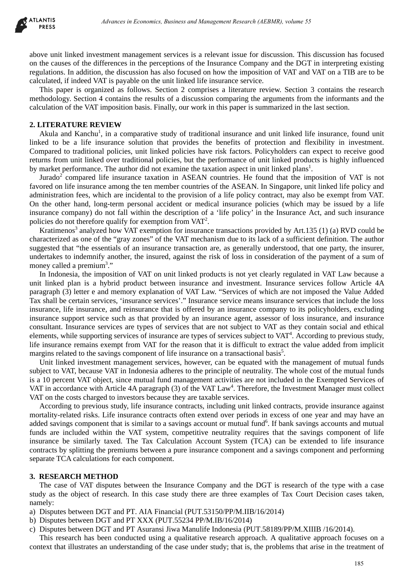

above unit linked investment management services is a relevant issue for discussion. This discussion has focused on the causes of the differences in the perceptions of the Insurance Company and the DGT in interpreting existing regulations. In addition, the discussion has also focused on how the imposition of VAT and VAT on a TIB are to be calculated, if indeed VAT is payable on the unit linked life insurance service.

This paper is organized as follows. Section 2 comprises a literature review. Section 3 contains the research methodology. Section 4 contains the results of a discussion comparing the arguments from the informants and the calculation of the VAT imposition basis. Finally, our work in this paper is summarized in the last section.

# **2. LITERATURE REVIEW**

Akula and Kanchu<sup>1</sup>, in a comparative study of traditional insurance and unit linked life insurance, found unit linked to be a life insurance solution that provides the benefits of protection and flexibility in investment. Compared to traditional policies, unit linked policies have risk factors. Policyholders can expect to receive good returns from unit linked over traditional policies, but the performance of unit linked products is highly influenced by market performance. The author did not examine the taxation aspect in unit linked plans<sup>1</sup>.

Jurado<sup>2</sup> compared life insurance taxation in ASEAN countries. He found that the imposition of VAT is not favored on life insurance among the ten member countries of the ASEAN. In Singapore, unit linked life policy and administration fees, which are incidental to the provision of a life policy contract, may also be exempt from VAT. On the other hand, long-term personal accident or medical insurance policies (which may be issued by a life insurance company) do not fall within the description of a 'life policy' in the Insurance Act, and such insurance policies do not therefore qualify for exemption from  $VAT<sup>2</sup>$ .

Kratimenos<sup>3</sup> analyzed how VAT exemption for insurance transactions provided by Art.135 (1) (a) RVD could be characterized as one of the "gray zones" of the VAT mechanism due to its lack of a sufficient definition. The author suggested that "the essentials of an insurance transaction are, as generally understood, that one party, the insurer, undertakes to indemnify another, the insured, against the risk of loss in consideration of the payment of a sum of money called a premium<sup>3</sup>."

In Indonesia, the imposition of VAT on unit linked products is not yet clearly regulated in VAT Law because a unit linked plan is a hybrid product between insurance and investment. Insurance services follow Article 4A paragraph (3) letter e and memory explanation of VAT Law. "Services of which are not imposed the Value Added Tax shall be certain services, 'insurance services'." Insurance service means insurance services that include the loss insurance, life insurance, and reinsurance that is offered by an insurance company to its policyholders, excluding insurance support service such as that provided by an insurance agent, assessor of loss insurance, and insurance consultant. Insurance services are types of services that are not subject to VAT as they contain social and ethical elements, while supporting services of insurance are types of services subject to  $VAT<sup>4</sup>$ . According to previous study, life insurance remains exempt from VAT for the reason that it is difficult to extract the value added from implicit margins related to the savings component of life insurance on a transactional basis<sup>5</sup>. debiases in Economics Busines and Management Research (AEBMR), volume 55<br>
Humen management services is a relevant issue for discussion. This discussion has<br>
Humen management services is a relevant issue for discussion of A

Unit linked investment management services, however, can be equated with the management of mutual funds subject to VAT, because VAT in Indonesia adheres to the principle of neutrality. The whole cost of the mutual funds is a 10 percent VAT object, since mutual fund management activities are not included in the Exempted Services of VAT in accordance with Article 4A paragraph (3) of the VAT Law<sup>4</sup>. Therefore, the Investment Manager must collect VAT on the costs charged to investors because they are taxable services.

According to previous study, life insurance contracts, including unit linked contracts, provide insurance against mortality-related risks. Life insurance contracts often extend over periods in excess of one year and may have an added savings component that is similar to a savings account or mutual fund<sup>6</sup>. If bank savings accounts and mutual funds are included within the VAT system, competitive neutrality requires that the savings component of life insurance be similarly taxed. The Tax Calculation Account System (TCA) can be extended to life insurance contracts by splitting the premiums between a pure insurance component and a savings component and performing separate TCA calculations for each component.

# **3. RESEARCH METHOD**

The case of VAT disputes between the Insurance Company and the DGT is research of the type with a case study as the object of research. In this case study there are three examples of Tax Court Decision cases taken, namely:

a) Disputes between DGT and PT. AIA Financial (PUT.53150/PP/M.IIB/16/2014)

- b) Disputes between DGT and PT XXX (PUT.55234 PP/M.IB/16/2014)
- c) Disputes between DGT and PT Asuransi Jiwa Manulife Indonesia (PUT.58189/PP/M.XIIIB /16/2014).

This research has been conducted using a qualitative research approach. A qualitative approach focuses on a context that illustrates an understanding of the case under study; that is, the problems that arise in the treatment of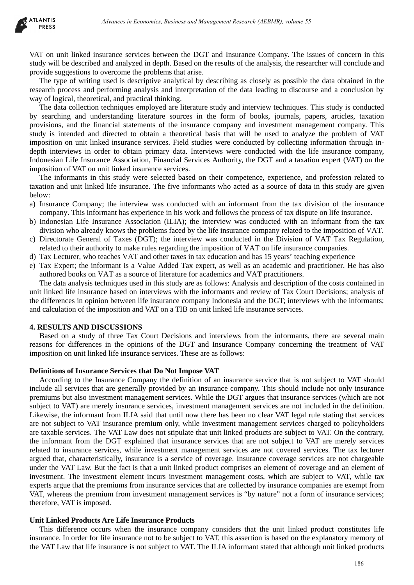

VAT on unit linked insurance services between the DGT and Insurance Company. The issues of concern in this study will be described and analyzed in depth. Based on the results of the analysis, the researcher will conclude and provide suggestions to overcome the problems that arise.

The type of writing used is descriptive analytical by describing as closely as possible the data obtained in the research process and performing analysis and interpretation of the data leading to discourse and a conclusion by way of logical, theoretical, and practical thinking.

The data collection techniques employed are literature study and interview techniques. This study is conducted by searching and understanding literature sources in the form of books, journals, papers, articles, taxation provisions, and the financial statements of the insurance company and investment management company. This study is intended and directed to obtain a theoretical basis that will be used to analyze the problem of VAT imposition on unit linked insurance services. Field studies were conducted by collecting information through indepth interviews in order to obtain primary data. Interviews were conducted with the life insurance company, Indonesian Life Insurance Association, Financial Services Authority, the DGT and a taxation expert (VAT) on the imposition of VAT on unit linked insurance services.

The informants in this study were selected based on their competence, experience, and profession related to taxation and unit linked life insurance. The five informants who acted as a source of data in this study are given below:

- a) Insurance Company; the interview was conducted with an informant from the tax division of the insurance company. This informant has experience in his work and follows the process of tax dispute on life insurance.
- b) Indonesian Life Insurance Association (ILIA); the interview was conducted with an informant from the tax division who already knows the problems faced by the life insurance company related to the imposition of VAT.
- c) Directorate General of Taxes (DGT); the interview was conducted in the Division of VAT Tax Regulation, related to their authority to make rules regarding the imposition of VAT on life insurance companies.
- d) Tax Lecturer, who teaches VAT and other taxes in tax education and has 15 years' teaching experience
- e) Tax Expert; the informant is a Value Added Tax expert, as well as an academic and practitioner. He has also authored books on VAT as a source of literature for academics and VAT practitioners.

The data analysis techniques used in this study are as follows: Analysis and description of the costs contained in unit linked life insurance based on interviews with the informants and review of Tax Court Decisions; analysis of the differences in opinion between life insurance company Indonesia and the DGT; interviews with the informants; and calculation of the imposition and VAT on a TIB on unit linked life insurance services.

# **4. RESULTS AND DISCUSSIONS**

Based on a study of three Tax Court Decisions and interviews from the informants, there are several main reasons for differences in the opinions of the DGT and Insurance Company concerning the treatment of VAT imposition on unit linked life insurance services. These are as follows:

### **Definitions of Insurance Services that Do Not Impose VAT**

According to the Insurance Company the definition of an insurance service that is not subject to VAT should include all services that are generally provided by an insurance company. This should include not only insurance premiums but also investment management services. While the DGT argues that insurance services (which are not subject to VAT) are merely insurance services, investment management services are not included in the definition. Likewise, the informant from ILIA said that until now there has been no clear VAT legal rule stating that services are not subject to VAT insurance premium only, while investment management services charged to policyholders are taxable services. The VAT Law does not stipulate that unit linked products are subject to VAT. On the contrary, the informant from the DGT explained that insurance services that are not subject to VAT are merely services related to insurance services, while investment management services are not covered services. The tax lecturer argued that, characteristically, insurance is a service of coverage. Insurance coverage services are not chargeable under the VAT Law. But the fact is that a unit linked product comprises an element of coverage and an element of investment. The investment element incurs investment management costs, which are subject to VAT, while tax experts argue that the premiums from insurance services that are collected by insurance companies are exempt from VAT, whereas the premium from investment management services is "by nature" not a form of insurance services; therefore, VAT is imposed. debiases in Everantis, Business and Management Research (AEBMR), volume 55<br>
Autamos anticipate in the Based on the event of the analysis, the research concerned<br>
and analysis in dependent with concerned and the event of th

# **Unit Linked Products Are Life Insurance Products**

This difference occurs when the insurance company considers that the unit linked product constitutes life insurance. In order for life insurance not to be subject to VAT, this assertion is based on the explanatory memory of the VAT Law that life insurance is not subject to VAT. The ILIA informant stated that although unit linked products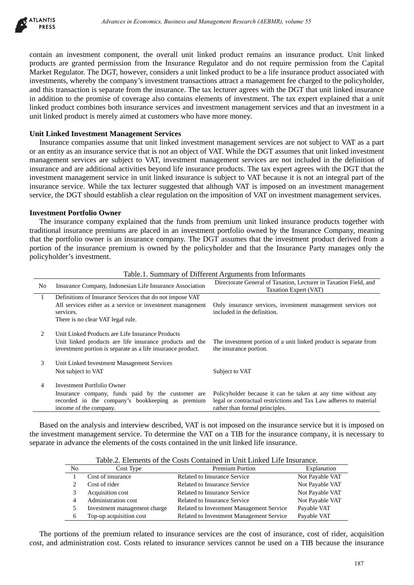

### **Unit Linked Investment Management Services**

#### **Investment Portfolio Owner**

| ILANIIS<br><b>PRESS</b> |                                                                                                                                                                                                                                                                           |                                                                                                                                                                                                                                                                                                                                                                                                                                                                                                                                                                                                                                                                                                                                                                                                                                                                                          |                                                                                                                     | Advances in Economics, Business and Management Research (AEBMR), volume 55                                                                                          |                                    |     |
|-------------------------|---------------------------------------------------------------------------------------------------------------------------------------------------------------------------------------------------------------------------------------------------------------------------|------------------------------------------------------------------------------------------------------------------------------------------------------------------------------------------------------------------------------------------------------------------------------------------------------------------------------------------------------------------------------------------------------------------------------------------------------------------------------------------------------------------------------------------------------------------------------------------------------------------------------------------------------------------------------------------------------------------------------------------------------------------------------------------------------------------------------------------------------------------------------------------|---------------------------------------------------------------------------------------------------------------------|---------------------------------------------------------------------------------------------------------------------------------------------------------------------|------------------------------------|-----|
|                         |                                                                                                                                                                                                                                                                           | ontain an investment component, the overall unit linked product remains an insurance product. Unit linke<br>roducts are granted permission from the Insurance Regulator and do not require permission from the Capita<br>farket Regulator. The DGT, however, considers a unit linked product to be a life insurance product associated wit<br>ivestments, whereby the company's investment transactions attract a management fee charged to the policyholde<br>nd this transaction is separate from the insurance. The tax lecturer agrees with the DGT that unit linked insurance<br>addition to the promise of coverage also contains elements of investment. The tax expert explained that a un<br>nked product combines both insurance services and investment management services and that an investment in<br>nit linked product is merely aimed at customers who have more money. |                                                                                                                     |                                                                                                                                                                     |                                    |     |
|                         |                                                                                                                                                                                                                                                                           | Init Linked Investment Management Services<br>Insurance companies assume that unit linked investment management services are not subject to VAT as a pa<br>r an entity as an insurance service that is not an object of VAT. While the DGT assumes that unit linked investmen<br>anagement services are subject to VAT, investment management services are not included in the definition of<br>isurance and are additional activities beyond life insurance products. The tax expert agrees with the DGT that the<br>ivestment management service in unit linked insurance is subject to VAT because it is not an integral part of th<br>isurance service. While the tax lecturer suggested that although VAT is imposed on an investment management<br>ervice, the DGT should establish a clear regulation on the imposition of VAT on investment management services                  |                                                                                                                     |                                                                                                                                                                     |                                    |     |
|                         |                                                                                                                                                                                                                                                                           | nvestment Portfolio Owner<br>The insurance company explained that the funds from premium unit linked insurance products together with<br>aditional insurance premiums are placed in an investment portfolio owned by the Insurance Company, meanin<br>at the portfolio owner is an insurance company. The DGT assumes that the investment product derived from<br>ortion of the insurance premium is owned by the policyholder and that the Insurance Party manages only the<br>olicyholder's investment.                                                                                                                                                                                                                                                                                                                                                                                |                                                                                                                     |                                                                                                                                                                     |                                    |     |
| No                      |                                                                                                                                                                                                                                                                           |                                                                                                                                                                                                                                                                                                                                                                                                                                                                                                                                                                                                                                                                                                                                                                                                                                                                                          |                                                                                                                     | Table.1. Summary of Different Arguments from Informants<br>Directorate General of Taxation, Lecturer in Taxation Field, and                                         |                                    |     |
| $\mathbf{1}$            | Insurance Company, Indonesian Life Insurance Association<br>Definitions of Insurance Services that do not impose VAT<br>All services either as a service or investment management<br>services.<br>There is no clear VAT legal rule.                                       |                                                                                                                                                                                                                                                                                                                                                                                                                                                                                                                                                                                                                                                                                                                                                                                                                                                                                          | Taxation Expert (VAT)<br>Only insurance services, investment management services not<br>included in the definition. |                                                                                                                                                                     |                                    |     |
| $\sqrt{2}$              | Unit Linked Products are Life Insurance Products<br>Unit linked products are life insurance products and the<br>The investment portion of a unit linked product is separate from<br>investment portion is separate as a life insurance product.<br>the insurance portion. |                                                                                                                                                                                                                                                                                                                                                                                                                                                                                                                                                                                                                                                                                                                                                                                                                                                                                          |                                                                                                                     |                                                                                                                                                                     |                                    |     |
| 3                       | Unit Linked Investment Management Services<br>Not subject to VAT<br>Subject to VAT                                                                                                                                                                                        |                                                                                                                                                                                                                                                                                                                                                                                                                                                                                                                                                                                                                                                                                                                                                                                                                                                                                          |                                                                                                                     |                                                                                                                                                                     |                                    |     |
| 4                       |                                                                                                                                                                                                                                                                           | <b>Investment Portfolio Owner</b><br>Insurance company, funds paid by the customer are<br>recorded in the company's bookkeeping as premium<br>income of the company.                                                                                                                                                                                                                                                                                                                                                                                                                                                                                                                                                                                                                                                                                                                     |                                                                                                                     | Policyholder because it can be taken at any time without any<br>legal or contractual restrictions and Tax Law adheres to material<br>rather than formal principles. |                                    |     |
|                         |                                                                                                                                                                                                                                                                           | Based on the analysis and interview described, VAT is not imposed on the insurance service but it is imposed o<br>the investment management service. To determine the VAT on a TIB for the insurance company, it is necessary to<br>eparate in advance the elements of the costs contained in the unit linked life insurance.                                                                                                                                                                                                                                                                                                                                                                                                                                                                                                                                                            |                                                                                                                     |                                                                                                                                                                     |                                    |     |
|                         | No                                                                                                                                                                                                                                                                        | Cost Type                                                                                                                                                                                                                                                                                                                                                                                                                                                                                                                                                                                                                                                                                                                                                                                                                                                                                |                                                                                                                     | Table.2. Elements of the Costs Contained in Unit Linked Life Insurance.<br>Premium Portion                                                                          | Explanation                        |     |
|                         | 1                                                                                                                                                                                                                                                                         | Cost of insurance                                                                                                                                                                                                                                                                                                                                                                                                                                                                                                                                                                                                                                                                                                                                                                                                                                                                        |                                                                                                                     | Related to Insurance Service                                                                                                                                        | Not Payable VAT                    |     |
|                         | 2<br>3                                                                                                                                                                                                                                                                    | Cost of rider                                                                                                                                                                                                                                                                                                                                                                                                                                                                                                                                                                                                                                                                                                                                                                                                                                                                            |                                                                                                                     | Related to Insurance Service<br>Related to Insurance Service                                                                                                        | Not Payable VAT                    |     |
|                         | 4                                                                                                                                                                                                                                                                         | Acquisition cost<br>Administration cost                                                                                                                                                                                                                                                                                                                                                                                                                                                                                                                                                                                                                                                                                                                                                                                                                                                  |                                                                                                                     | Related to Insurance Service                                                                                                                                        | Not Payable VAT<br>Not Payable VAT |     |
|                         | 5                                                                                                                                                                                                                                                                         | Investment management charge                                                                                                                                                                                                                                                                                                                                                                                                                                                                                                                                                                                                                                                                                                                                                                                                                                                             |                                                                                                                     | Related to Investment Management Service                                                                                                                            | Payable VAT                        |     |
|                         | 6                                                                                                                                                                                                                                                                         | Top-up acquisition cost                                                                                                                                                                                                                                                                                                                                                                                                                                                                                                                                                                                                                                                                                                                                                                                                                                                                  |                                                                                                                     | Related to Investment Management Service                                                                                                                            | Payable VAT                        |     |
|                         |                                                                                                                                                                                                                                                                           | The portions of the premium related to insurance services are the cost of insurance, cost of rider, acquisition<br>ost, and administration cost. Costs related to insurance services cannot be used on a TIB because the insurance                                                                                                                                                                                                                                                                                                                                                                                                                                                                                                                                                                                                                                                       |                                                                                                                     |                                                                                                                                                                     |                                    |     |
|                         |                                                                                                                                                                                                                                                                           |                                                                                                                                                                                                                                                                                                                                                                                                                                                                                                                                                                                                                                                                                                                                                                                                                                                                                          |                                                                                                                     |                                                                                                                                                                     |                                    | 187 |

|    | Table.2. Elements of the Costs Contained in Only Emiled Ene misulance. |                                          |                 |  |  |  |
|----|------------------------------------------------------------------------|------------------------------------------|-----------------|--|--|--|
| No | Cost Type                                                              | <b>Premium Portion</b>                   | Explanation     |  |  |  |
|    | Cost of insurance                                                      | Related to Insurance Service             | Not Payable VAT |  |  |  |
|    | Cost of rider                                                          | Related to Insurance Service             | Not Payable VAT |  |  |  |
| 3  | Acquisition cost                                                       | Related to Insurance Service             | Not Payable VAT |  |  |  |
| 4  | Administration cost                                                    | Related to Insurance Service             | Not Payable VAT |  |  |  |
| 5  | Investment management charge                                           | Related to Investment Management Service | Payable VAT     |  |  |  |
| 6  | Top-up acquisition cost                                                | Related to Investment Management Service | Payable VAT     |  |  |  |

Table.2. Elements of the Costs Contained in Unit Linked Life Insurance.